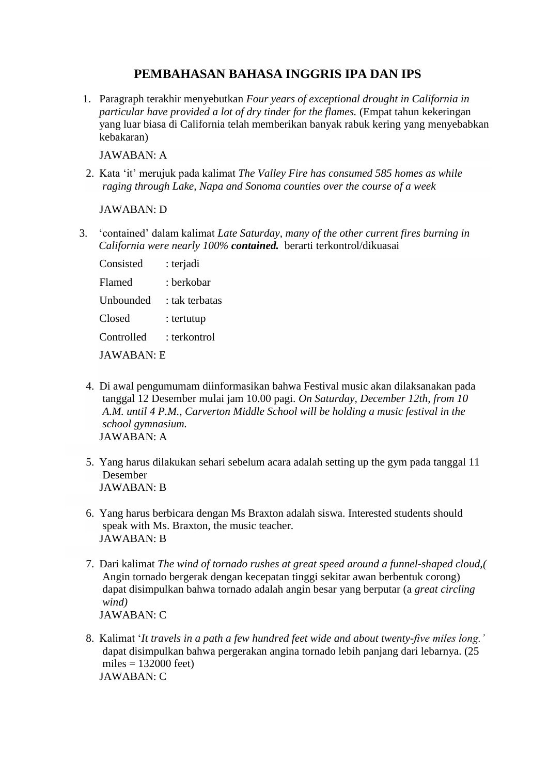## **PEMBAHASAN BAHASA INGGRIS IPA DAN IPS**

1. Paragraph terakhir menyebutkan *Four years of exceptional drought in California in particular have provided a lot of dry tinder for the flames.* (Empat tahun kekeringan yang luar biasa di California telah memberikan banyak rabuk kering yang menyebabkan kebakaran)

JAWABAN: A

2. Kata 'it' merujuk pada kalimat *The Valley Fire has consumed 585 homes as while raging through Lake, Napa and Sonoma counties over the course of a week*

JAWABAN: D

3. 'contained' dalam kalimat *Late Saturday, many of the other current fires burning in California were nearly 100% contained.* berarti terkontrol/dikuasai

| Consisted  | : terjadi      |
|------------|----------------|
| Flamed     | : berkobar     |
| Unbounded  | : tak terbatas |
| Closed     | : tertutup     |
| Controlled | : terkontrol   |
|            |                |

JAWABAN: E

- 4. Di awal pengumumam diinformasikan bahwa Festival music akan dilaksanakan pada tanggal 12 Desember mulai jam 10.00 pagi. *On Saturday, December 12th, from 10 A.M. until 4 P.M., Carverton Middle School will be holding a music festival in the school gymnasium.* JAWABAN: A
- 5. Yang harus dilakukan sehari sebelum acara adalah setting up the gym pada tanggal 11 Desember JAWABAN: B
- 6. Yang harus berbicara dengan Ms Braxton adalah siswa. Interested students should speak with Ms. Braxton, the music teacher. JAWABAN: B
- 7. Dari kalimat *The wind of tornado rushes at great speed around a funnel-shaped cloud,(* Angin tornado bergerak dengan kecepatan tinggi sekitar awan berbentuk corong) dapat disimpulkan bahwa tornado adalah angin besar yang berputar (a *great circling wind)* JAWABAN: C
- 8. Kalimat '*It travels in a path a few hundred feet wide and about twenty-five miles long.'* dapat disimpulkan bahwa pergerakan angina tornado lebih panjang dari lebarnya. (25 miles  $= 132000$  feet) JAWABAN: C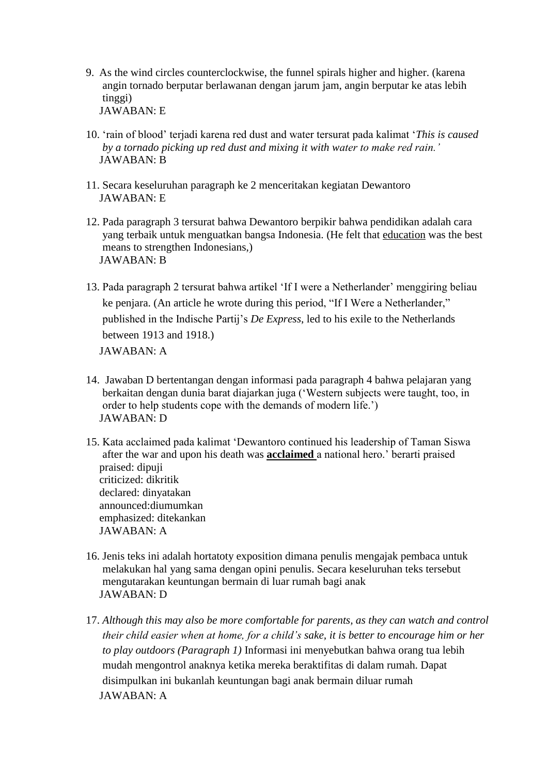- 9. As the wind circles counterclockwise, the funnel spirals higher and higher. (karena angin tornado berputar berlawanan dengan jarum jam, angin berputar ke atas lebih tinggi) JAWABAN: E
- 10. 'rain of blood' terjadi karena red dust and water tersurat pada kalimat '*This is caused by a tornado picking up red dust and mixing it with water to make red rain.'*  JAWABAN: B
- 11. Secara keseluruhan paragraph ke 2 menceritakan kegiatan Dewantoro JAWABAN: E
- 12. Pada paragraph 3 tersurat bahwa Dewantoro berpikir bahwa pendidikan adalah cara yang terbaik untuk menguatkan bangsa Indonesia. (He felt that [education](http://www.britannica.com/topic/education) was the best means to strengthen Indonesians,) JAWABAN: B
- 13. Pada paragraph 2 tersurat bahwa artikel 'If I were a Netherlander' menggiring beliau ke penjara. (An article he wrote during this period, "If I Were a Netherlander," published in the Indische Partij's *De Express*, led to his exile to the Netherlands between 1913 and 1918.) JAWABAN: A
- 14. Jawaban D bertentangan dengan informasi pada paragraph 4 bahwa pelajaran yang berkaitan dengan dunia barat diajarkan juga ('Western subjects were taught, too, in order to help students cope with the demands of modern life.') JAWABAN: D

15. Kata acclaimed pada kalimat 'Dewantoro continued his leadership of Taman Siswa after the war and upon his death was **acclaimed** a national hero.' berarti praised praised: dipuji criticized: dikritik declared: dinyatakan announced:diumumkan emphasized: ditekankan JAWABAN: A

- 16. Jenis teks ini adalah hortatoty exposition dimana penulis mengajak pembaca untuk melakukan hal yang sama dengan opini penulis. Secara keseluruhan teks tersebut mengutarakan keuntungan bermain di luar rumah bagi anak JAWABAN: D
- 17. *Although this may also be more comfortable for parents, as they can watch and control their child easier when at home, for a child's sake, it is better to encourage him or her to play outdoors (Paragraph 1)* Informasi ini menyebutkan bahwa orang tua lebih mudah mengontrol anaknya ketika mereka beraktifitas di dalam rumah. Dapat disimpulkan ini bukanlah keuntungan bagi anak bermain diluar rumah JAWABAN: A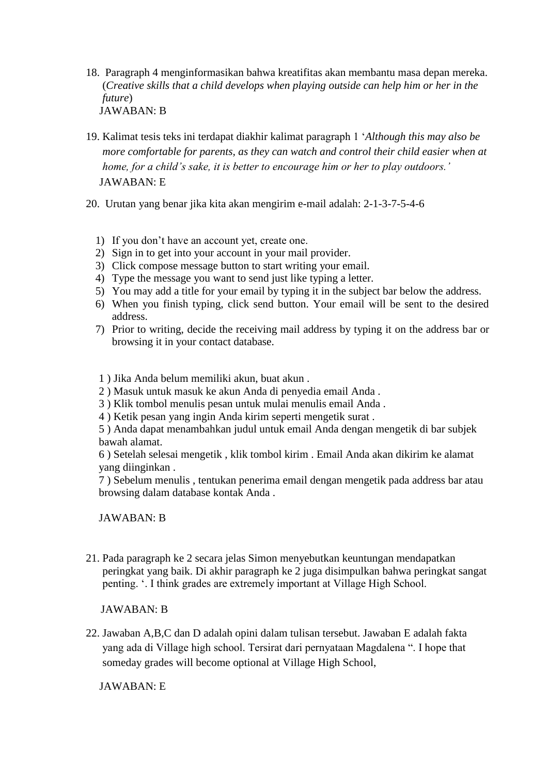- 18. Paragraph 4 menginformasikan bahwa kreatifitas akan membantu masa depan mereka. (*Creative skills that a child develops when playing outside can help him or her in the future*) JAWABAN: B
- 19. Kalimat tesis teks ini terdapat diakhir kalimat paragraph 1 '*Although this may also be more comfortable for parents, as they can watch and control their child easier when at home, for a child's sake, it is better to encourage him or her to play outdoors.'* JAWABAN: E
- 20. Urutan yang benar jika kita akan mengirim e-mail adalah: 2-1-3-7-5-4-6
	- 1) If you don't have an account yet, create one.
	- 2) Sign in to get into your account in your mail provider.
	- 3) Click compose message button to start writing your email.
	- 4) Type the message you want to send just like typing a letter.
	- 5) You may add a title for your email by typing it in the subject bar below the address.
	- 6) When you finish typing, click send button. Your email will be sent to the desired address.
	- 7) Prior to writing, decide the receiving mail address by typing it on the address bar or browsing it in your contact database.
	- 1 ) Jika Anda belum memiliki akun, buat akun .
	- 2 ) Masuk untuk masuk ke akun Anda di penyedia email Anda .
	- 3 ) Klik tombol menulis pesan untuk mulai menulis email Anda .
	- 4 ) Ketik pesan yang ingin Anda kirim seperti mengetik surat .

5 ) Anda dapat menambahkan judul untuk email Anda dengan mengetik di bar subjek bawah alamat.

6 ) Setelah selesai mengetik , klik tombol kirim . Email Anda akan dikirim ke alamat yang diinginkan .

7 ) Sebelum menulis , tentukan penerima email dengan mengetik pada address bar atau browsing dalam database kontak Anda .

JAWABAN: B

21. Pada paragraph ke 2 secara jelas Simon menyebutkan keuntungan mendapatkan peringkat yang baik. Di akhir paragraph ke 2 juga disimpulkan bahwa peringkat sangat penting. '. I think grades are extremely important at Village High School.

JAWABAN: B

22. Jawaban A,B,C dan D adalah opini dalam tulisan tersebut. Jawaban E adalah fakta yang ada di Village high school. Tersirat dari pernyataan Magdalena ". I hope that someday grades will become optional at Village High School,

JAWABAN: E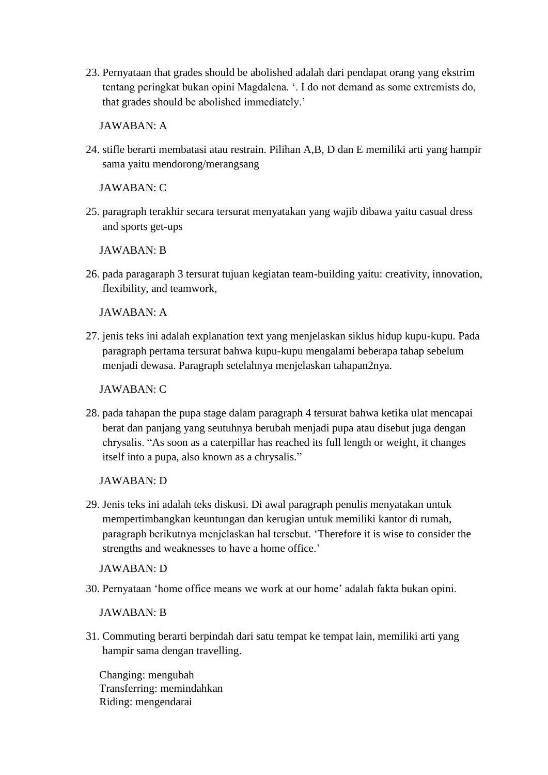23. Pernyataan that grades should be abolished adalah dari pendapat orang yang ekstrim tentang peringkat bukan opini Magdalena. '. I do not demand as some extremists do, that grades should be abolished immediately.'

JAWABAN: A

24. stifle berarti membatasi atau restrain. Pilihan A,B, D dan E memiliki arti yang hampir sama yaitu mendorong/merangsang

JAWABAN: C

25. paragraph terakhir secara tersurat menyatakan yang wajib dibawa yaitu casual dress and sports get-ups

JAWABAN: B

26. pada paragaraph 3 tersurat tujuan kegiatan team-building yaitu: creativity, innovation, flexibility, and teamwork,

JAWABAN: A

27. jenis teks ini adalah explanation text yang menjelaskan siklus hidup kupu-kupu. Pada paragraph pertama tersurat bahwa kupu-kupu mengalami beberapa tahap sebelum menjadi dewasa. Paragraph setelahnya menjelaskan tahapan2nya.

JAWABAN: C

28. pada tahapan the pupa stage dalam paragraph 4 tersurat bahwa ketika ulat mencapai berat dan panjang yang seutuhnya berubah menjadi pupa atau disebut juga dengan chrysalis. "As soon as a caterpillar has reached its full length or weight, it changes itself into a pupa, also known as a chrysalis."

JAWABAN: D

29. Jenis teks ini adalah teks diskusi. Di awal paragraph penulis menyatakan untuk mempertimbangkan keuntungan dan kerugian untuk memiliki kantor di rumah, paragraph berikutnya menjelaskan hal tersebut. 'Therefore it is wise to consider the strengths and weaknesses to have a home office.'

JAWABAN: D

30. Pernyataan 'home office means we work at our home' adalah fakta bukan opini.

JAWABAN: B

31. Commuting berarti berpindah dari satu tempat ke tempat lain, memiliki arti yang hampir sama dengan travelling.

Changing: mengubah Transferring: memindahkan Riding: mengendarai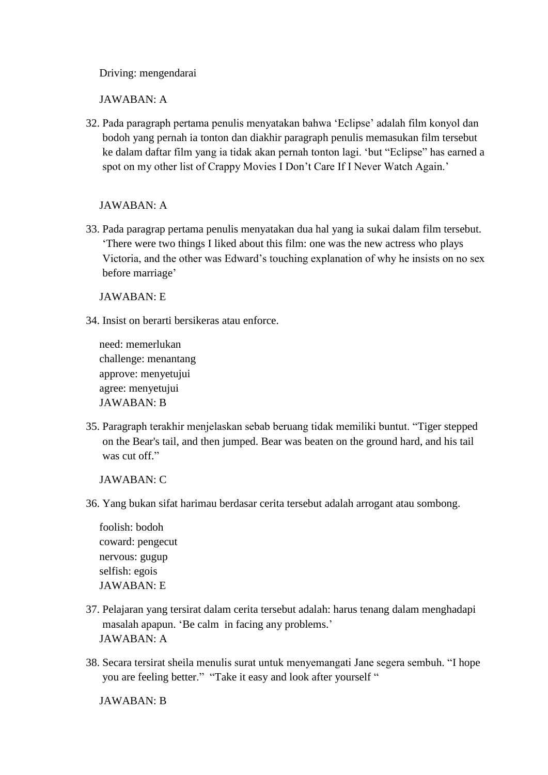Driving: mengendarai

JAWABAN: A

32. Pada paragraph pertama penulis menyatakan bahwa 'Eclipse' adalah film konyol dan bodoh yang pernah ia tonton dan diakhir paragraph penulis memasukan film tersebut ke dalam daftar film yang ia tidak akan pernah tonton lagi. 'but "Eclipse" has earned a spot on my other list of Crappy Movies I Don't Care If I Never Watch Again.'

JAWABAN: A

33. Pada paragrap pertama penulis menyatakan dua hal yang ia sukai dalam film tersebut. 'There were two things I liked about this film: one was the new actress who plays Victoria, and the other was Edward's touching explanation of why he insists on no sex before marriage'

JAWABAN: E

34. Insist on berarti bersikeras atau enforce.

need: memerlukan challenge: menantang approve: menyetujui agree: menyetujui JAWABAN: B

35. Paragraph terakhir menjelaskan sebab beruang tidak memiliki buntut. "Tiger stepped on the Bear's tail, and then jumped. Bear was beaten on the ground hard, and his tail was cut off."

JAWABAN: C

36. Yang bukan sifat harimau berdasar cerita tersebut adalah arrogant atau sombong.

foolish: bodoh coward: pengecut nervous: gugup selfish: egois JAWABAN: E

- 37. Pelajaran yang tersirat dalam cerita tersebut adalah: harus tenang dalam menghadapi masalah apapun. 'Be calm in facing any problems.' JAWABAN: A
- 38. Secara tersirat sheila menulis surat untuk menyemangati Jane segera sembuh. "I hope you are feeling better." "Take it easy and look after yourself "

JAWABAN: B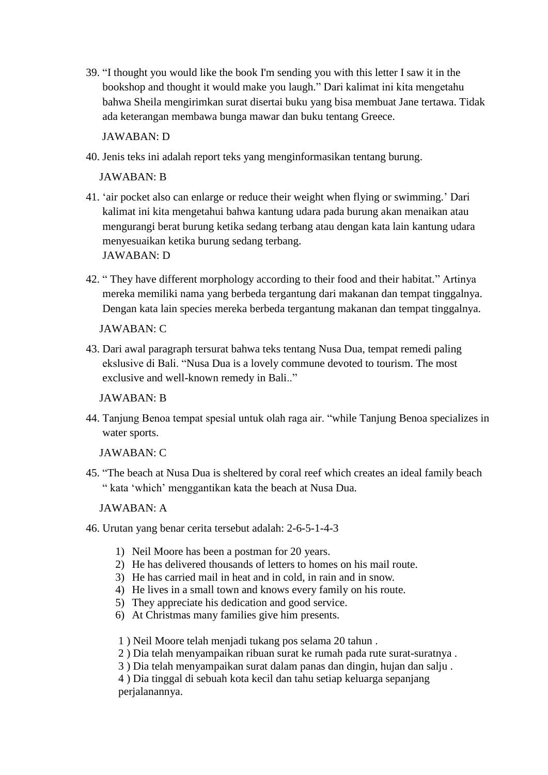39. "I thought you would like the book I'm sending you with this letter I saw it in the bookshop and thought it would make you laugh." Dari kalimat ini kita mengetahu bahwa Sheila mengirimkan surat disertai buku yang bisa membuat Jane tertawa. Tidak ada keterangan membawa bunga mawar dan buku tentang Greece.

JAWABAN: D

40. Jenis teks ini adalah report teks yang menginformasikan tentang burung.

JAWABAN: B

- 41. 'air pocket also can enlarge or reduce their weight when flying or swimming.' Dari kalimat ini kita mengetahui bahwa kantung udara pada burung akan menaikan atau mengurangi berat burung ketika sedang terbang atau dengan kata lain kantung udara menyesuaikan ketika burung sedang terbang. JAWABAN: D
- 42. " They have different morphology according to their food and their habitat." Artinya mereka memiliki nama yang berbeda tergantung dari makanan dan tempat tinggalnya. Dengan kata lain species mereka berbeda tergantung makanan dan tempat tinggalnya.

JAWABAN: C

43. Dari awal paragraph tersurat bahwa teks tentang Nusa Dua, tempat remedi paling ekslusive di Bali. "Nusa Dua is a lovely commune devoted to tourism. The most exclusive and well-known remedy in Bali.."

JAWABAN: B

44. Tanjung Benoa tempat spesial untuk olah raga air. "while Tanjung Benoa specializes in water sports.

JAWABAN: C

45. "The beach at Nusa Dua is sheltered by coral reef which creates an ideal family beach " kata 'which' menggantikan kata the beach at Nusa Dua.

JAWABAN: A

- 46. Urutan yang benar cerita tersebut adalah: 2-6-5-1-4-3
	- 1) Neil Moore has been a postman for 20 years.
	- 2) He has delivered thousands of letters to homes on his mail route.
	- 3) He has carried mail in heat and in cold, in rain and in snow.
	- 4) He lives in a small town and knows every family on his route.
	- 5) They appreciate his dedication and good service.
	- 6) At Christmas many families give him presents.
	- 1 ) Neil Moore telah menjadi tukang pos selama 20 tahun .
	- 2 ) Dia telah menyampaikan ribuan surat ke rumah pada rute surat-suratnya .
	- 3 ) Dia telah menyampaikan surat dalam panas dan dingin, hujan dan salju .

4 ) Dia tinggal di sebuah kota kecil dan tahu setiap keluarga sepanjang perjalanannya.